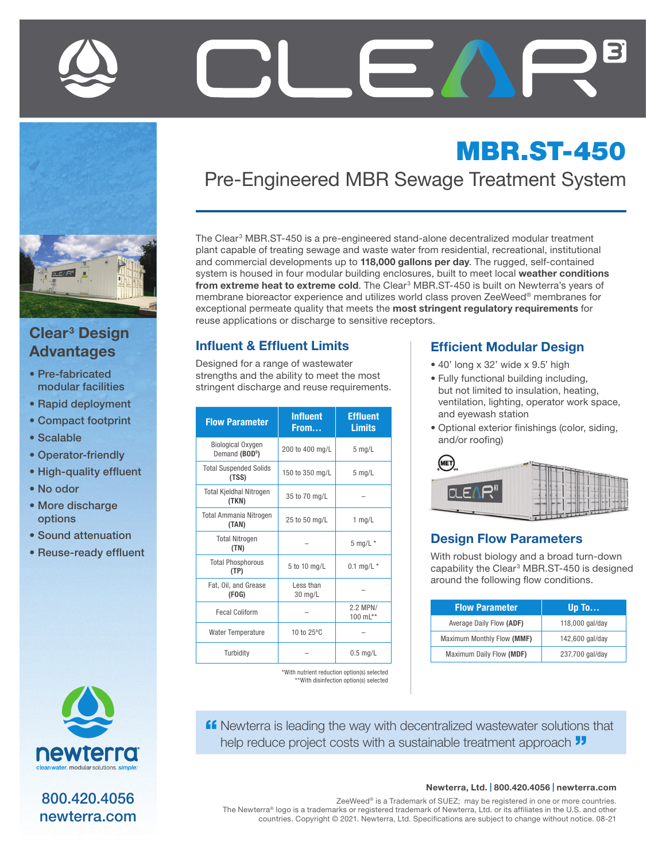

# Clear<sup>3</sup> Design Advantages

- Pre-fabricated modular facilities
- Rapid deployment
- Compact footprint
- Scalable
- Operator-friendly
- High-quality effluent
- No odor
- More discharge options
- Sound attenuation
- Reuse-ready effluent



800.420.4056 newterra.com

# MBR.ST-450 Pre-Engineered MBR Sewage Treatment System

The Clear<sup>3</sup> MBR.ST-450 is a pre-engineered stand-alone decentralized modular treatment plant capable of treating sewage and waste water from residential, recreational, institutional and commercial developments up to 118,000 gallons per day. The rugged, self-contained system is housed in four modular building enclosures, built to meet local weather conditions from extreme heat to extreme cold. The Clear<sup>3</sup> MBR.ST-450 is built on Newterra's years of membrane bioreactor experience and utilizes world class proven ZeeWeed® membranes for exceptional permeate quality that meets the most stringent regulatory requirements for reuse applications or discharge to sensitive receptors.

# Influent & Effluent Limits

Designed for a range of wastewater strengths and the ability to meet the most stringent discharge and reuse requirements.

| <b>Flow Parameter</b>                                  | <b>Influent</b><br>From | <b>Effluent</b><br><b>Limits</b> |
|--------------------------------------------------------|-------------------------|----------------------------------|
| <b>Biological Oxygen</b><br>Demand (BOD <sup>5</sup> ) | 200 to 400 mg/L         | $5$ mg/L                         |
| <b>Total Suspended Solids</b><br>(TSS)                 | 150 to 350 mg/L         | $5$ mg/L                         |
| <b>Total Kjeldhal Nitrogen</b><br>(TKN)                | 35 to 70 mg/L           |                                  |
| <b>Total Ammania Nitrogen</b><br>(TAN)                 | 25 to 50 mg/L           | 1 $mg/L$                         |
| <b>Total Nitrogen</b><br>(TN)                          |                         | $5$ mg/L $*$                     |
| <b>Total Phosphorous</b><br>(TP)                       | 5 to 10 mg/L            | 0.1 mg/L $*$                     |
| Fat, Oil, and Grease<br>(FOG)                          | Less than<br>30 mg/L    |                                  |
| <b>Fecal Coliform</b>                                  |                         | 2.2 MPN/<br>100 $mL**$           |
| <b>Water Temperature</b>                               | 10 to 25°C              |                                  |
| Turbidity                                              |                         | $0.5$ mg/L                       |

\*With nutrient reduction option(s) selected \*\*With disinfection option(s) selected

#### Efficient Modular Design

- 40' long x 32' wide x 9.5' high
- Fully functional building including, but not limited to insulation, heating, ventilation, lighting, operator work space, and eyewash station
- Optional exterior finishings (color, siding, and/or roofing)

| <b>MET</b> <sub>us</sub>  |  |
|---------------------------|--|
| NAMES OF TAXABLE PARTIES. |  |
|                           |  |
|                           |  |

#### Design Flow Parameters

With robust biology and a broad turn-down capability the Clear<sup>3</sup> MBR.ST-450 is designed around the following flow conditions.

| <b>Flow Parameter</b>      | Up To           |
|----------------------------|-----------------|
| Average Daily Flow (ADF)   | 118,000 gal/day |
| Maximum Monthly Flow (MMF) | 142,600 gal/day |
| Maximum Daily Flow (MDF)   | 237,700 gal/day |

**ff** Newterra is leading the way with decentralized wastewater solutions that help reduce project costs with a sustainable treatment approach  $\overline{\mathbf{J}}$ 

#### Newterra, Ltd. | 800.420.4056 | newterra.com

ZeeWeed® is a Trademark of SUEZ; may be registered in one or more countries. The Newterra® logo is a trademarks or registered trademark of Newterra, Ltd. or its affiliates in the U.S. and other countries. Copyright © 2021. Newterra, Ltd. Specifications are subject to change without notice. 08-21